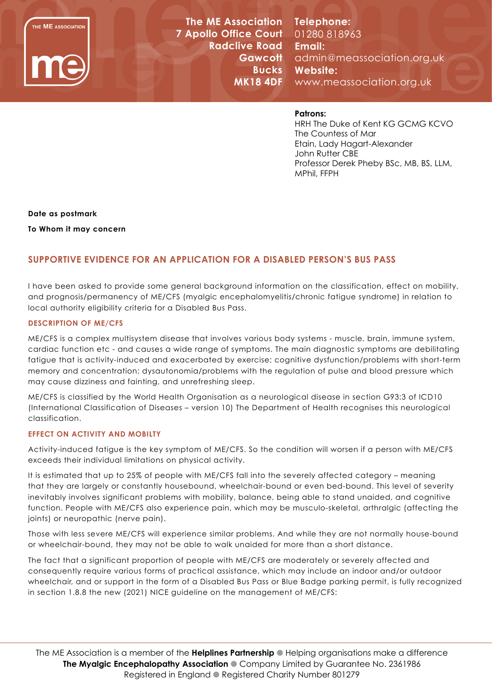THE ME ASSOCIATION



**The ME Association 7 Apollo Office Court** 01280 818963 **Radclive Road Bucks MK18 4DF**

**Gawcott** admin@meassociation.org.uk **Telephone: Email: Website:**  www.meassociation.org.uk

## **Patrons:**

**PATRONS:**<br>PRITTLE HRH The Duke of Kent KG GCMG KCVO HRH The Duke of Kent KG GCMG KCVO The Countess of Mar Etain, Lady Hagart-Alexander Etain, Lady Hagart-Alexander John Rutter CBE John Rutter CBE Professor Derek Pheby BSc, MB, BS, LLM, MPhil, FFPH MPhil, FFPH The Countess of Mar

#### **Date as postmark**

**To Whom it may concern**

# **SUPPORTIVE EVIDENCE FOR AN APPLICATION FOR A DISABLED PERSON'S BUS PASS**

I have been asked to provide some general background information on the classification, effect on mobility, and prognosis/permanency of ME/CFS (myalgic encephalomyelitis/chronic fatigue syndrome) in relation to local authority eligibility criteria for a Disabled Bus Pass.

#### **DESCRIPTION OF ME/CFS**

ME/CFS is a complex multisystem disease that involves various body systems - muscle, brain, immune system, cardiac function etc - and causes a wide range of symptoms. The main diagnostic symptoms are debilitating fatigue that is activity-induced and exacerbated by exercise; cognitive dysfunction/problems with short-term memory and concentration; dysautonomia/problems with the regulation of pulse and blood pressure which may cause dizziness and fainting, and unrefreshing sleep.

ME/CFS is classified by the World Health Organisation as a neurological disease in section G93:3 of ICD10 (International Classification of Diseases – version 10) The Department of Health recognises this neurological classification.

## **EFFECT ON ACTIVITY AND MOBILTY**

Activity-induced fatigue is the key symptom of ME/CFS. So the condition will worsen if a person with ME/CFS exceeds their individual limitations on physical activity.

It is estimated that up to 25% of people with ME/CFS fall into the severely affected category – meaning that they are largely or constantly housebound, wheelchair-bound or even bed-bound. This level of severity inevitably involves significant problems with mobility, balance, being able to stand unaided, and cognitive function. People with ME/CFS also experience pain, which may be musculo-skeletal, arthralgic (affecting the joints) or neuropathic (nerve pain).

Those with less severe ME/CFS will experience similar problems. And while they are not normally house-bound or wheelchair-bound, they may not be able to walk unaided for more than a short distance.

The fact that a significant proportion of people with ME/CFS are moderately or severely affected and consequently require various forms of practical assistance, which may include an indoor and/or outdoor wheelchair, and or support in the form of a Disabled Bus Pass or Blue Badge parking permit, is fully recognized in section 1.8.8 the new (2021) NICE guideline on the management of ME/CFS:

The ME Association is a member of the **Helplines Partnership**  $\bullet$  Helping organisations make a difference **The Myalgic Encephalopathy Association** C Company Limited by Guarantee No. 2361986 Registered in England • Registered Charity Number 801279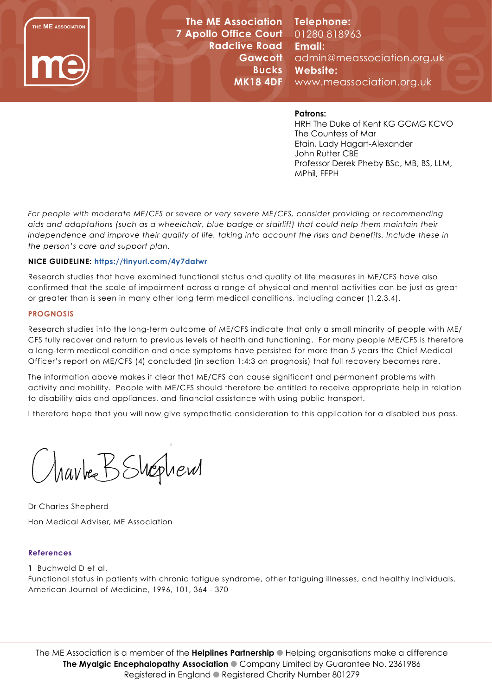THE ME ASSOCIATION



**The ME Association 7 Apollo Office Court** 01280 818963 **Radclive Road Bucks** 

**Gawcott** admin@meassociation.org.uk **MK18 4DF** www.meassociation.org.uk **Telephone: Email: Website:** 

## **Patrons:**

**PATRONS:**<br>PRITTLE HRH The Duke of Kent KG GCMG KCVO HRH The Duke of Kent KG GCMG KCVO The Countess of Mar Etain, Lady Hagart-Alexander Etain, Lady Hagart-Alexander John Rutter CBE John Rutter CBE Professor Derek Pheby BSc, MB, BS, LLM, MPhil, FFPH MPhil, FFPH The Countess of Mar

*For people with moderate ME/CFS or severe or very severe ME/CFS, consider providing or recommending aids and adaptations (such as a wheelchair, blue badge or stairlift) that could help them maintain their*  independence and improve their quality of life, taking into account the risks and benefits. Include these in *the person's care and support plan.* 

## **NICE GUIDELINE: https://tinyurl.com/4y7datwr**

Research studies that have examined functional status and quality of life measures in ME/CFS have also confirmed that the scale of impairment across a range of physical and mental activities can be just as great or greater than is seen in many other long term medical conditions, including cancer (1,2,3,4).

#### **PROGNOSIS**

Research studies into the long-term outcome of ME/CFS indicate that only a small minority of people with ME/ CFS fully recover and return to previous levels of health and functioning. For many people ME/CFS is therefore a long-term medical condition and once symptoms have persisted for more than 5 years the Chief Medical Officer's report on ME/CFS (4) concluded (in section 1:4:3 on prognosis) that full recovery becomes rare.

The information above makes it clear that ME/CFS can cause significant and permanent problems with activity and mobility. People with ME/CFS should therefore be entitled to receive appropriate help in relation to disability aids and appliances, and financial assistance with using public transport.

I therefore hope that you will now give sympathetic consideration to this application for a disabled bus pass.

( havbee B Shophent

Dr Charles Shepherd Hon Medical Adviser, ME Association

## **References**

**1** Buchwald D et al.

Functional status in patients with chronic fatigue syndrome, other fatiguing illnesses, and healthy individuals. American Journal of Medicine, 1996, 101, 364 - 370

The ME Association is a member of the **Helplines Partnership**  $\bullet$  Helping organisations make a difference **The Myalgic Encephalopathy Association** C Company Limited by Guarantee No. 2361986 Registered in England • Registered Charity Number 801279